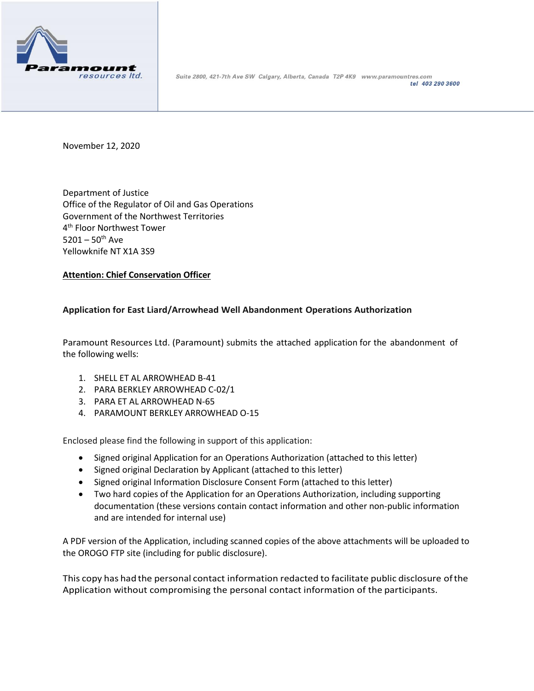

Suite 2800, 421-7th Ave SW Calgary, Alberta, Canada T2P 4K9 www.paramountres.com tel 403 290 3600

November 12, 2020

Department of Justice Office of the Regulator of Oil and Gas Operations Government of the Northwest Territories 4 th Floor Northwest Tower  $5201 - 50^{th}$  Ave Yellowknife NT X1A 3S9

## **Attention: Chief Conservation Officer**

## **Application for East Liard/Arrowhead Well Abandonment Operations Authorization**

Paramount Resources Ltd. (Paramount) submits the attached application for the abandonment of the following wells:

- 1. SHELL ET AL ARROWHEAD B-41
- 2. PARA BERKLEY ARROWHEAD C-02/1
- 3. PARA ET AL ARROWHEAD N-65
- 4. PARAMOUNT BERKLEY ARROWHEAD O-15

Enclosed please find the following in support of this application:

- Signed original Application for an Operations Authorization (attached to this letter)
- Signed original Declaration by Applicant (attached to this letter)
- Signed original Information Disclosure Consent Form (attached to this letter)
- Two hard copies of the Application for an Operations Authorization, including supporting documentation (these versions contain contact information and other non-public information and are intended for internal use)

A PDF version of the Application, including scanned copies of the above attachments will be uploaded to the OROGO FTP site (including for public disclosure).

This copy has had the personal contact information redacted to facilitate public disclosure ofthe Application without compromising the personal contact information of the participants.